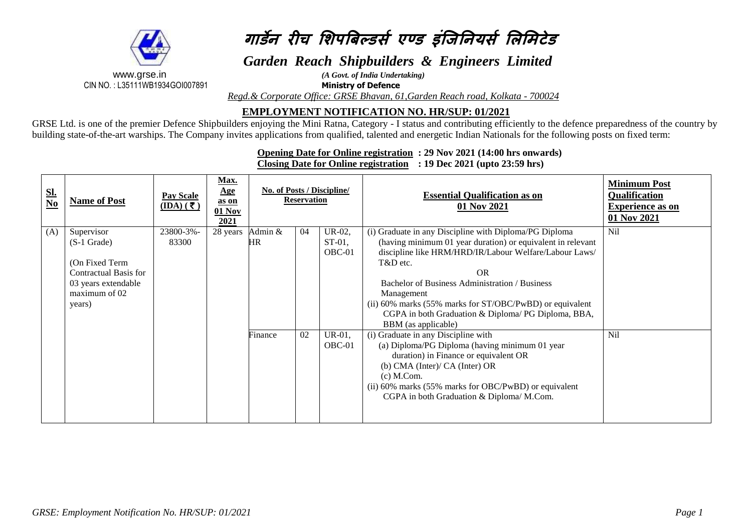

CIN NO. : L35111WB1934GOI007891 **Ministry of Defence**

# **गार्डने रीच शिपबिल्र्डर्स एण्र्ड इंजिननयर्स शऱशिटेर्ड**

# *Garden Reach Shipbuilders & Engineers Limited*

www.grse.in*(A Govt. of India Undertaking)*

*Regd.& Corporate Office: GRSE Bhavan, 61,Garden Reach road, Kolkata - 700024*

### **EMPLOYMENT NOTIFICATION NO. HR/SUP: 01/2021**

GRSE Ltd. is one of the premier Defence Shipbuilders enjoying the Mini Ratna, Category - I status and contributing efficiently to the defence preparedness of the country by building state-of-the-art warships. The Company invites applications from qualified, talented and energetic Indian Nationals for the following posts on fixed term:

#### **Opening Date for Online registration : 29 Nov 2021 (14:00 hrs onwards)**

**Closing Date for Online registration : 19 Dec 2021 (upto 23:59 hrs)**

| $\frac{\text{SI.}}{\text{No}}$ | <b>Name of Post</b>                                                                                                         | <b>Pay Scale</b><br>$(IDA)$ (₹) | <b>Max.</b><br><u>Age</u><br>as on<br>$01$ Nov<br>2021 | <b>No. of Posts / Discipline/</b> | <b>Reservation</b> |                               | <b>Essential Qualification as on</b><br>01 Nov 2021                                                                                                                                                                                                                                                                                                                                                                | <b>Minimum Post</b><br><b>Qualification</b><br><b>Experience as on</b><br>01 Nov 2021 |
|--------------------------------|-----------------------------------------------------------------------------------------------------------------------------|---------------------------------|--------------------------------------------------------|-----------------------------------|--------------------|-------------------------------|--------------------------------------------------------------------------------------------------------------------------------------------------------------------------------------------------------------------------------------------------------------------------------------------------------------------------------------------------------------------------------------------------------------------|---------------------------------------------------------------------------------------|
| (A)                            | Supervisor<br>$(S-1 \; Grade)$<br>(On Fixed Term<br>Contractual Basis for<br>03 years extendable<br>maximum of 02<br>years) | 23800-3%-<br>83300              | 28 years                                               | Admin &<br>HR                     | 04                 | UR-02,<br>$ST-01$ ,<br>OBC-01 | (i) Graduate in any Discipline with Diploma/PG Diploma<br>(having minimum 01 year duration) or equivalent in relevant<br>discipline like HRM/HRD/IR/Labour Welfare/Labour Laws/<br>T&D etc.<br><b>OR</b><br>Bachelor of Business Administration / Business<br>Management<br>(ii) 60% marks (55% marks for ST/OBC/PwBD) or equivalent<br>CGPA in both Graduation & Diploma/ PG Diploma, BBA,<br>BBM (as applicable) | <b>Nil</b>                                                                            |
|                                |                                                                                                                             |                                 |                                                        | Finance                           | 02                 | UR-01,<br>OBC-01              | (i) Graduate in any Discipline with<br>(a) Diploma/PG Diploma (having minimum 01 year<br>duration) in Finance or equivalent OR<br>(b) CMA (Inter)/ CA (Inter) OR<br>(c) M. Com.<br>(ii) 60% marks (55% marks for OBC/PwBD) or equivalent<br>CGPA in both Graduation & Diploma/ M.Com.                                                                                                                              | Nil                                                                                   |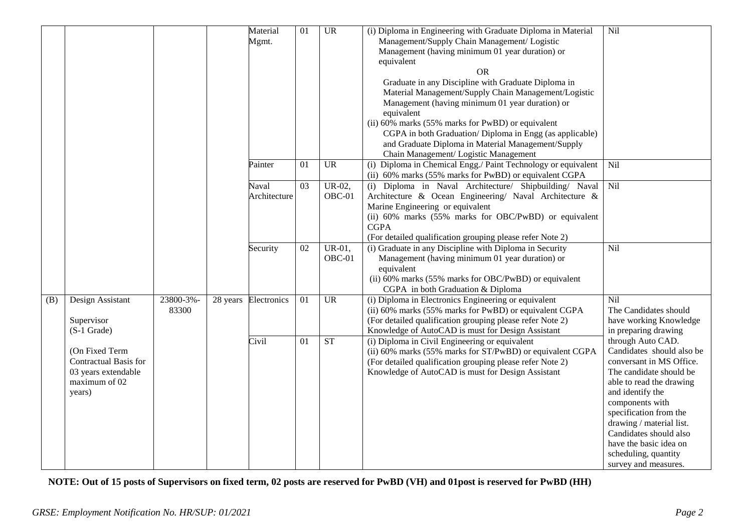|     |                                                                                           |                   |          | Material<br>Mgmt.     | 01 | <b>UR</b>        | (i) Diploma in Engineering with Graduate Diploma in Material<br>Management/Supply Chain Management/ Logistic<br>Management (having minimum 01 year duration) or<br>equivalent<br><b>OR</b><br>Graduate in any Discipline with Graduate Diploma in<br>Material Management/Supply Chain Management/Logistic<br>Management (having minimum 01 year duration) or<br>equivalent<br>(ii) 60% marks (55% marks for PwBD) or equivalent<br>CGPA in both Graduation/Diploma in Engg (as applicable)<br>and Graduate Diploma in Material Management/Supply<br>Chain Management/ Logistic Management | Nil                                                                                                                                                                                                                                                                                                                                |
|-----|-------------------------------------------------------------------------------------------|-------------------|----------|-----------------------|----|------------------|-------------------------------------------------------------------------------------------------------------------------------------------------------------------------------------------------------------------------------------------------------------------------------------------------------------------------------------------------------------------------------------------------------------------------------------------------------------------------------------------------------------------------------------------------------------------------------------------|------------------------------------------------------------------------------------------------------------------------------------------------------------------------------------------------------------------------------------------------------------------------------------------------------------------------------------|
|     |                                                                                           |                   |          | Painter               | 01 | $\overline{UR}$  | (i) Diploma in Chemical Engg./ Paint Technology or equivalent<br>(ii) 60% marks (55% marks for PwBD) or equivalent CGPA                                                                                                                                                                                                                                                                                                                                                                                                                                                                   | Nil                                                                                                                                                                                                                                                                                                                                |
|     |                                                                                           |                   |          | Naval<br>Architecture | 03 | UR-02,<br>OBC-01 | (i) Diploma in Naval Architecture/ Shipbuilding/ Naval<br>Architecture & Ocean Engineering/ Naval Architecture &<br>Marine Engineering or equivalent<br>(ii) 60% marks (55% marks for OBC/PwBD) or equivalent<br><b>CGPA</b><br>(For detailed qualification grouping please refer Note 2)                                                                                                                                                                                                                                                                                                 | Nil                                                                                                                                                                                                                                                                                                                                |
|     |                                                                                           |                   |          | Security              | 02 | UR-01,<br>OBC-01 | (i) Graduate in any Discipline with Diploma in Security<br>Management (having minimum 01 year duration) or<br>equivalent<br>(ii) 60% marks (55% marks for OBC/PwBD) or equivalent<br>CGPA in both Graduation & Diploma                                                                                                                                                                                                                                                                                                                                                                    | Nil                                                                                                                                                                                                                                                                                                                                |
| (B) | Design Assistant<br>Supervisor<br>$(S-1$ Grade)                                           | 23800-3%<br>83300 | 28 years | Electronics           | 01 | <b>UR</b>        | (i) Diploma in Electronics Engineering or equivalent<br>(ii) 60% marks (55% marks for PwBD) or equivalent CGPA<br>(For detailed qualification grouping please refer Note 2)<br>Knowledge of AutoCAD is must for Design Assistant                                                                                                                                                                                                                                                                                                                                                          | Nil<br>The Candidates should<br>have working Knowledge<br>in preparing drawing                                                                                                                                                                                                                                                     |
|     | (On Fixed Term<br>Contractual Basis for<br>03 years extendable<br>maximum of 02<br>years) |                   |          | Civil                 | 01 | <b>ST</b>        | (i) Diploma in Civil Engineering or equivalent<br>(ii) 60% marks (55% marks for ST/PwBD) or equivalent CGPA<br>(For detailed qualification grouping please refer Note 2)<br>Knowledge of AutoCAD is must for Design Assistant                                                                                                                                                                                                                                                                                                                                                             | through Auto CAD.<br>Candidates should also be<br>conversant in MS Office.<br>The candidate should be<br>able to read the drawing<br>and identify the<br>components with<br>specification from the<br>drawing / material list.<br>Candidates should also<br>have the basic idea on<br>scheduling, quantity<br>survey and measures. |

**NOTE: Out of 15 posts of Supervisors on fixed term, 02 posts are reserved for PwBD (VH) and 01post is reserved for PwBD (HH)**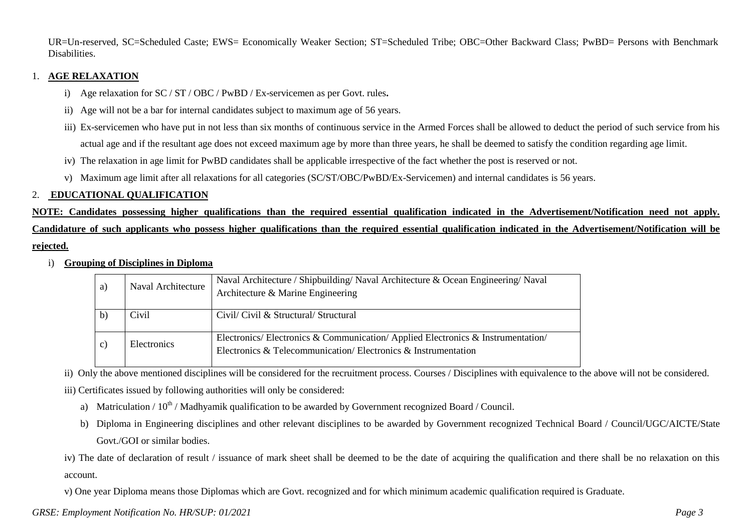UR=Un-reserved, SC=Scheduled Caste; EWS= Economically Weaker Section; ST=Scheduled Tribe; OBC=Other Backward Class; PwBD= Persons with Benchmark Disabilities.

#### 1. **AGE RELAXATION**

- i) Age relaxation for SC / ST / OBC / PwBD / Ex-servicemen as per Govt. rules**.**
- ii) Age will not be a bar for internal candidates subject to maximum age of 56 years.
- iii) Ex-servicemen who have put in not less than six months of continuous service in the Armed Forces shall be allowed to deduct the period of such service from his actual age and if the resultant age does not exceed maximum age by more than three years, he shall be deemed to satisfy the condition regarding age limit.
- iv) The relaxation in age limit for PwBD candidates shall be applicable irrespective of the fact whether the post is reserved or not.
- v) Maximum age limit after all relaxations for all categories (SC/ST/OBC/PwBD/Ex-Servicemen) and internal candidates is 56 years.

#### 2. **EDUCATIONAL QUALIFICATION**

**NOTE: Candidates possessing higher qualifications than the required essential qualification indicated in the Advertisement/Notification need not apply. Candidature of such applicants who possess higher qualifications than the required essential qualification indicated in the Advertisement/Notification will be rejected.**

i) **Grouping of Disciplines in Diploma** 

| a) | Naval Architecture | Naval Architecture / Shipbuilding/ Naval Architecture & Ocean Engineering/ Naval<br>Architecture & Marine Engineering                           |
|----|--------------------|-------------------------------------------------------------------------------------------------------------------------------------------------|
|    | Civil              | Civil/ Civil & Structural/ Structural                                                                                                           |
| C) | Electronics        | Electronics/Electronics & Communication/Applied Electronics & Instrumentation/<br>Electronics & Telecommunication/Electronics & Instrumentation |

ii) Only the above mentioned disciplines will be considered for the recruitment process. Courses / Disciplines with equivalence to the above will not be considered.

iii) Certificates issued by following authorities will only be considered:

- a) Matriculation /  $10^{th}$  / Madhyamik qualification to be awarded by Government recognized Board / Council.
- b) Diploma in Engineering disciplines and other relevant disciplines to be awarded by Government recognized Technical Board / Council/UGC/AICTE/State Govt./GOI or similar bodies.
- iv) The date of declaration of result / issuance of mark sheet shall be deemed to be the date of acquiring the qualification and there shall be no relaxation on this account.

v) One year Diploma means those Diplomas which are Govt. recognized and for which minimum academic qualification required is Graduate.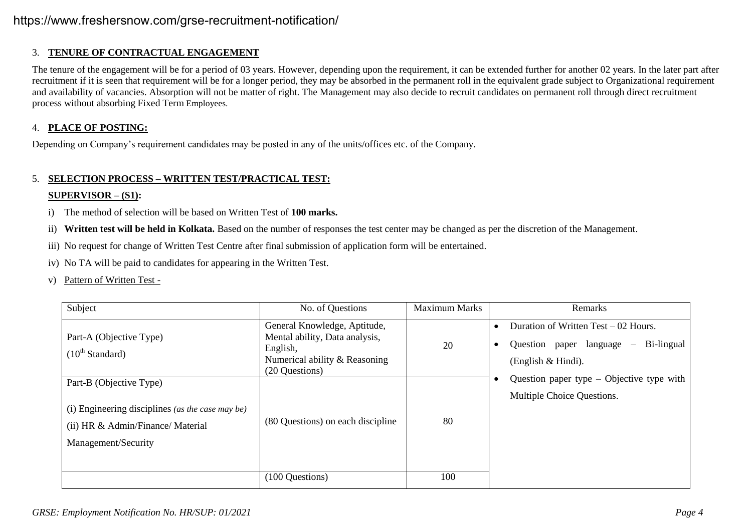## https://www.freshersnow.com/grse-recruitment-notification/

#### 3. **TENURE OF CONTRACTUAL ENGAGEMENT**

The tenure of the engagement will be for a period of 03 years. However, depending upon the requirement, it can be extended further for another 02 years. In the later part after recruitment if it is seen that requirement will be for a longer period, they may be absorbed in the permanent roll in the equivalent grade subject to Organizational requirement and availability of vacancies. Absorption will not be matter of right. The Management may also decide to recruit candidates on permanent roll through direct recruitment process without absorbing Fixed Term Employees.

#### 4. **PLACE OF POSTING:**

Depending on Company's requirement candidates may be posted in any of the units/offices etc. of the Company.

#### 5. **SELECTION PROCESS – WRITTEN TEST/PRACTICAL TEST:**

#### **SUPERVISOR – (S1):**

- i) The method of selection will be based on Written Test of **100 marks.**
- ii) **Written test will be held in Kolkata.** Based on the number of responses the test center may be changed as per the discretion of the Management.
- iii) No request for change of Written Test Centre after final submission of application form will be entertained.
- iv) No TA will be paid to candidates for appearing in the Written Test.
- v) Pattern of Written Test -

| Subject                                                                                                                                 | No. of Questions                                                                                                              | <b>Maximum Marks</b> | Remarks                                                                                                                          |
|-----------------------------------------------------------------------------------------------------------------------------------------|-------------------------------------------------------------------------------------------------------------------------------|----------------------|----------------------------------------------------------------------------------------------------------------------------------|
| Part-A (Objective Type)<br>$(10^{th}$ Standard)                                                                                         | General Knowledge, Aptitude,<br>Mental ability, Data analysis,<br>English,<br>Numerical ability & Reasoning<br>(20 Questions) | 20                   | Duration of Written Test $-02$ Hours.<br>Bi-lingual<br>Question paper language<br>$\overline{\phantom{m}}$<br>(English & Hindi). |
| Part-B (Objective Type)<br>(i) Engineering disciplines (as the case may be)<br>(ii) HR & Admin/Finance/ Material<br>Management/Security | (80 Questions) on each discipline                                                                                             | 80                   | Question paper type $-$ Objective type with<br>Multiple Choice Questions.                                                        |
|                                                                                                                                         | (100 Questions)                                                                                                               | 100                  |                                                                                                                                  |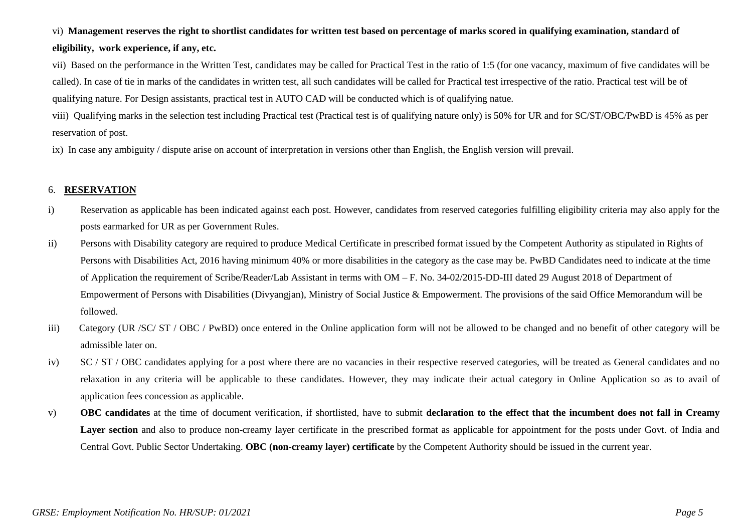#### vi) **Management reserves the right to shortlist candidates for written test based on percentage of marks scored in qualifying examination, standard of**

#### **eligibility, work experience, if any, etc.**

vii) Based on the performance in the Written Test, candidates may be called for Practical Test in the ratio of 1:5 (for one vacancy, maximum of five candidates will be called). In case of tie in marks of the candidates in written test, all such candidates will be called for Practical test irrespective of the ratio. Practical test will be of qualifying nature. For Design assistants, practical test in AUTO CAD will be conducted which is of qualifying natue.

viii) Qualifying marks in the selection test including Practical test (Practical test is of qualifying nature only) is 50% for UR and for SC/ST/OBC/PwBD is 45% as per reservation of post.

ix) In case any ambiguity / dispute arise on account of interpretation in versions other than English, the English version will prevail.

#### 6. **RESERVATION**

- i) Reservation as applicable has been indicated against each post. However, candidates from reserved categories fulfilling eligibility criteria may also apply for the posts earmarked for UR as per Government Rules.
- ii) Persons with Disability category are required to produce Medical Certificate in prescribed format issued by the Competent Authority as stipulated in Rights of Persons with Disabilities Act, 2016 having minimum 40% or more disabilities in the category as the case may be. PwBD Candidates need to indicate at the time of Application the requirement of Scribe/Reader/Lab Assistant in terms with OM – F. No. 34-02/2015-DD-III dated 29 August 2018 of Department of Empowerment of Persons with Disabilities (Divyangjan), Ministry of Social Justice & Empowerment. The provisions of the said Office Memorandum will be followed.
- iii) Category (UR /SC/ ST / OBC / PwBD) once entered in the Online application form will not be allowed to be changed and no benefit of other category will be admissible later on.
- iv) SC / ST / OBC candidates applying for a post where there are no vacancies in their respective reserved categories, will be treated as General candidates and no relaxation in any criteria will be applicable to these candidates. However, they may indicate their actual category in Online Application so as to avail of application fees concession as applicable.
- v) **OBC candidates** at the time of document verification, if shortlisted, have to submit **declaration to the effect that the incumbent does not fall in Creamy**  Layer section and also to produce non-creamy layer certificate in the prescribed format as applicable for appointment for the posts under Govt. of India and Central Govt. Public Sector Undertaking. **OBC (non-creamy layer) certificate** by the Competent Authority should be issued in the current year.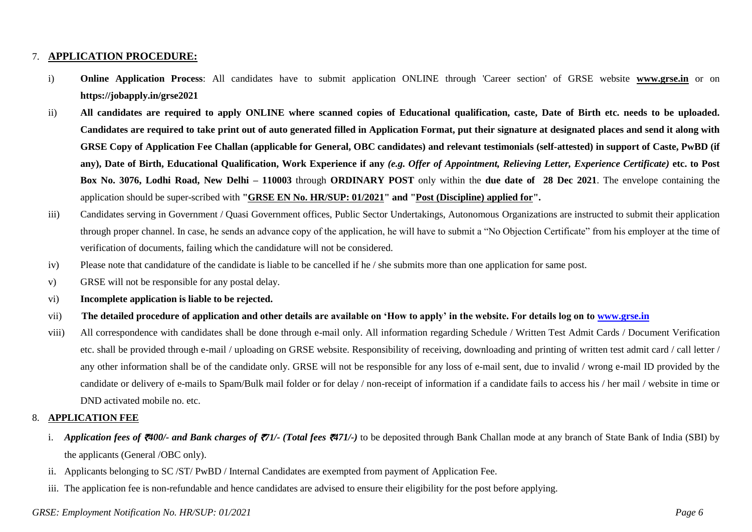#### 7. **APPLICATION PROCEDURE:**

- i) **Online Application Process**: All candidates have to submit application ONLINE through 'Career section' of GRSE website **[www.grse.in](http://www.grse.in/)** or on **https://jobapply.in/grse2021**
- ii) **All candidates are required to apply ONLINE where scanned copies of Educational qualification, caste, Date of Birth etc. needs to be uploaded. Candidates are required to take print out of auto generated filled in Application Format, put their signature at designated places and send it along with GRSE Copy of Application Fee Challan (applicable for General, OBC candidates) and relevant testimonials (self-attested) in support of Caste, PwBD (if any), Date of Birth, Educational Qualification, Work Experience if any** *(e.g. Offer of Appointment, Relieving Letter, Experience Certificate)* **etc. to Post Box No. 3076, Lodhi Road, New Delhi – 110003** through **ORDINARY POST** only within the **due date of 28 Dec 2021**. The envelope containing the application should be super-scribed with **"GRSE EN No. HR/SUP: 01/2021" and "Post (Discipline) applied for".**
- iii) Candidates serving in Government / Quasi Government offices, Public Sector Undertakings, Autonomous Organizations are instructed to submit their application through proper channel. In case, he sends an advance copy of the application, he will have to submit a "No Objection Certificate" from his employer at the time of verification of documents, failing which the candidature will not be considered.
- iv) Please note that candidature of the candidate is liable to be cancelled if he / she submits more than one application for same post.
- v) GRSE will not be responsible for any postal delay.
- vi) **Incomplete application is liable to be rejected.**
- vii) **The detailed procedure of application and other details are available on "How to apply" in the website. For details log on to [www.grse.in](http://www.grse.in/)**
- viii) All correspondence with candidates shall be done through e-mail only. All information regarding Schedule / Written Test Admit Cards / Document Verification etc. shall be provided through e-mail / uploading on GRSE website. Responsibility of receiving, downloading and printing of written test admit card / call letter / any other information shall be of the candidate only. GRSE will not be responsible for any loss of e-mail sent, due to invalid / wrong e-mail ID provided by the candidate or delivery of e-mails to Spam/Bulk mail folder or for delay / non-receipt of information if a candidate fails to access his / her mail / website in time or DND activated mobile no. etc.

#### 8. **APPLICATION FEE**

- i. *Application fees of* `*400/- and Bank charges of* `*71/- (Total fees* `*471/-)* to be deposited through Bank Challan mode at any branch of State Bank of India (SBI) by the applicants (General /OBC only).
- ii. Applicants belonging to SC /ST/ PwBD / Internal Candidates are exempted from payment of Application Fee.
- iii. The application fee is non-refundable and hence candidates are advised to ensure their eligibility for the post before applying.

#### *GRSE: Employment Notification No. HR/SUP: 01/2021 Page 6*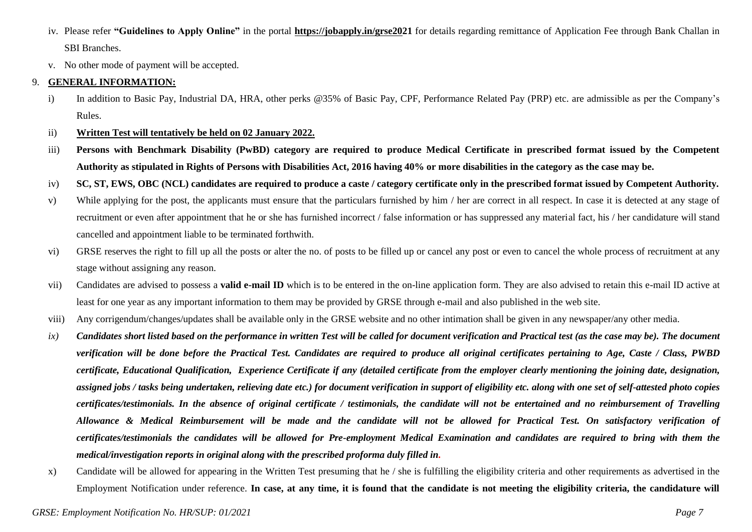- iv. Please refer **"Guidelines to Apply Online"** in the portal **[https://jobapply.in/grse202](https://jobapply.in/grse2017)1** for details regarding remittance of Application Fee through Bank Challan in SBI Branches.
- v. No other mode of payment will be accepted.

#### 9. **GENERAL INFORMATION:**

- i) In addition to Basic Pay, Industrial DA, HRA, other perks @35% of Basic Pay, CPF, Performance Related Pay (PRP) etc. are admissible as per the Company's Rules.
- ii) **Written Test will tentatively be held on 02 January 2022.**
- iii) **Persons with Benchmark Disability (PwBD) category are required to produce Medical Certificate in prescribed format issued by the Competent Authority as stipulated in Rights of Persons with Disabilities Act, 2016 having 40% or more disabilities in the category as the case may be.**
- iv) **SC, ST, EWS, OBC (NCL) candidates are required to produce a caste / category certificate only in the prescribed format issued by Competent Authority.**
- v) While applying for the post, the applicants must ensure that the particulars furnished by him / her are correct in all respect. In case it is detected at any stage of recruitment or even after appointment that he or she has furnished incorrect / false information or has suppressed any material fact, his / her candidature will stand cancelled and appointment liable to be terminated forthwith.
- vi) GRSE reserves the right to fill up all the posts or alter the no. of posts to be filled up or cancel any post or even to cancel the whole process of recruitment at any stage without assigning any reason.
- vii) Candidates are advised to possess a **valid e-mail ID** which is to be entered in the on-line application form. They are also advised to retain this e-mail ID active at least for one year as any important information to them may be provided by GRSE through e-mail and also published in the web site.
- viii) Any corrigendum/changes/updates shall be available only in the GRSE website and no other intimation shall be given in any newspaper/any other media.
- *ix) Candidates short listed based on the performance in written Test will be called for document verification and Practical test (as the case may be). The document verification will be done before the Practical Test. Candidates are required to produce all original certificates pertaining to Age, Caste / Class, PWBD certificate, Educational Qualification, Experience Certificate if any (detailed certificate from the employer clearly mentioning the joining date, designation, assigned jobs / tasks being undertaken, relieving date etc.) for document verification in support of eligibility etc. along with one set of self-attested photo copies certificates/testimonials. In the absence of original certificate / testimonials, the candidate will not be entertained and no reimbursement of Travelling Allowance & Medical Reimbursement will be made and the candidate will not be allowed for Practical Test. On satisfactory verification of certificates/testimonials the candidates will be allowed for Pre-employment Medical Examination and candidates are required to bring with them the medical/investigation reports in original along with the prescribed proforma duly filled in.*
- x) Candidate will be allowed for appearing in the Written Test presuming that he / she is fulfilling the eligibility criteria and other requirements as advertised in the Employment Notification under reference. **In case, at any time, it is found that the candidate is not meeting the eligibility criteria, the candidature will**